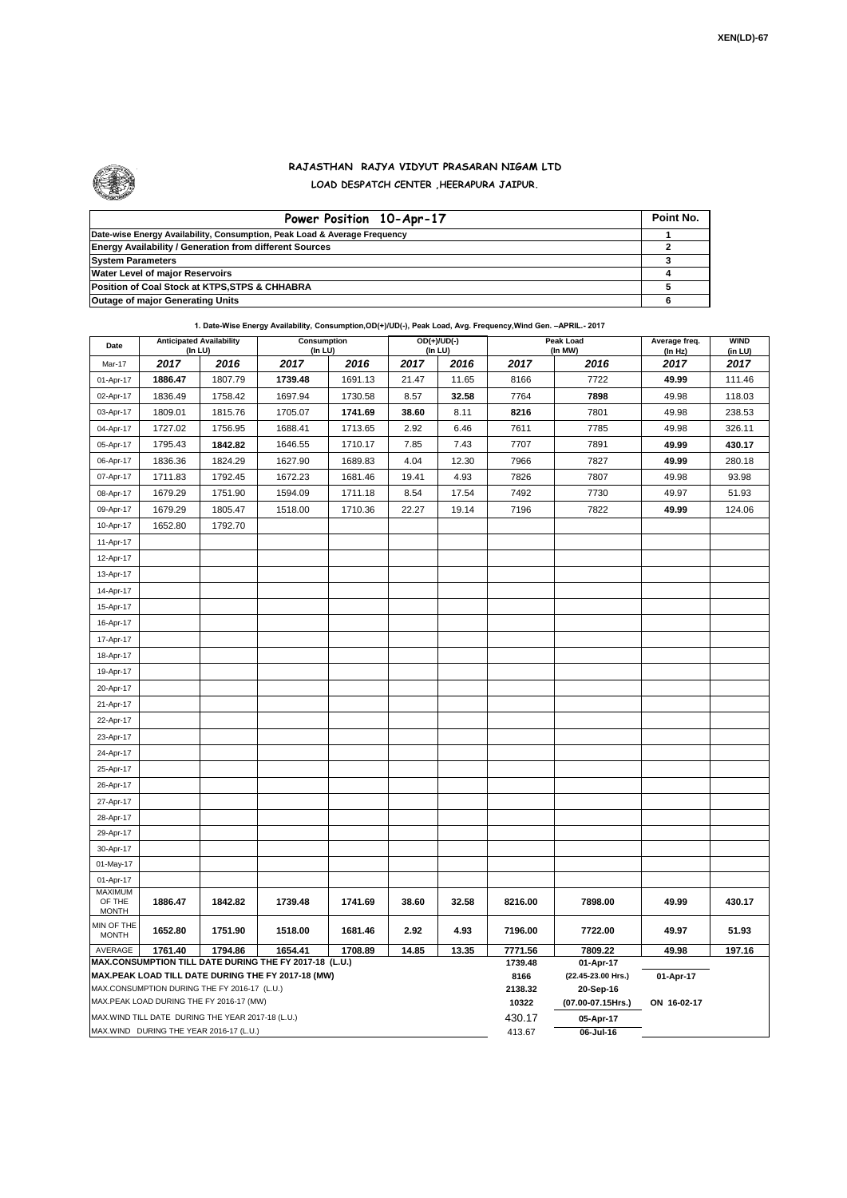

## **RAJASTHAN RAJYA VIDYUT PRASARAN NIGAM LTD LOAD DESPATCH CENTER ,HEERAPURA JAIPUR.**

| Power Position 10-Apr-17                                                  | Point No. |
|---------------------------------------------------------------------------|-----------|
| Date-wise Energy Availability, Consumption, Peak Load & Average Frequency |           |
| <b>Energy Availability / Generation from different Sources</b>            |           |
| <b>System Parameters</b>                                                  |           |
| <b>Water Level of major Reservoirs</b>                                    |           |
| Position of Coal Stock at KTPS, STPS & CHHABRA                            |           |
| <b>Outage of major Generating Units</b>                                   |           |

## **1. Date-Wise Energy Availability, Consumption,OD(+)/UD(-), Peak Load, Avg. Frequency,Wind Gen. –APRIL.- 2017**

| Date                                                                                                                            | <b>Anticipated Availability</b><br>(In LU)        |         | Consumption<br>(In LU)                             |                 |                    | $OD(+)/UD(-)$<br>(In LU) |                    | Peak Load<br>(In MW) |                 | <b>WIND</b><br>(in LU) |  |
|---------------------------------------------------------------------------------------------------------------------------------|---------------------------------------------------|---------|----------------------------------------------------|-----------------|--------------------|--------------------------|--------------------|----------------------|-----------------|------------------------|--|
| Mar-17                                                                                                                          | 2017                                              | 2016    | 2017                                               | 2016            | 2017               | 2016                     | 2017               | 2016                 | (In Hz)<br>2017 | 2017                   |  |
| 01-Apr-17                                                                                                                       | 1886.47                                           | 1807.79 | 1739.48                                            | 1691.13         | 21.47              | 11.65                    | 8166               | 7722                 | 49.99           | 111.46                 |  |
| 02-Apr-17                                                                                                                       | 1836.49                                           | 1758.42 | 1697.94                                            | 1730.58         | 8.57               | 32.58                    | 7764               | 7898                 | 49.98           | 118.03                 |  |
| 03-Apr-17                                                                                                                       | 1809.01                                           | 1815.76 | 1705.07                                            | 1741.69         | 38.60              | 8.11                     | 8216               | 7801                 | 49.98           | 238.53                 |  |
| 04-Apr-17                                                                                                                       | 1727.02                                           | 1756.95 | 1688.41                                            | 1713.65         | 2.92               | 6.46                     | 7611               | 7785                 | 49.98           | 326.11                 |  |
| 05-Apr-17                                                                                                                       | 1795.43                                           | 1842.82 | 1646.55                                            | 1710.17         | 7.85               | 7.43                     | 7707               | 7891                 | 49.99           | 430.17                 |  |
| 06-Apr-17                                                                                                                       | 1836.36                                           | 1824.29 | 1627.90                                            | 1689.83         | 4.04               | 12.30                    | 7966               | 7827                 | 49.99           | 280.18                 |  |
| 07-Apr-17                                                                                                                       | 1711.83                                           | 1792.45 | 1672.23                                            | 1681.46         | 19.41              | 4.93                     | 7826               | 7807                 | 49.98           | 93.98                  |  |
| 08-Apr-17                                                                                                                       | 1679.29                                           | 1751.90 | 1594.09                                            | 1711.18         | 8.54               | 17.54                    | 7492               | 7730                 | 49.97           | 51.93                  |  |
| 09-Apr-17                                                                                                                       | 1679.29                                           | 1805.47 | 1518.00                                            | 1710.36         | 22.27              | 19.14                    | 7196               | 7822                 | 49.99           | 124.06                 |  |
| 10-Apr-17                                                                                                                       | 1652.80                                           | 1792.70 |                                                    |                 |                    |                          |                    |                      |                 |                        |  |
| 11-Apr-17                                                                                                                       |                                                   |         |                                                    |                 |                    |                          |                    |                      |                 |                        |  |
| 12-Apr-17                                                                                                                       |                                                   |         |                                                    |                 |                    |                          |                    |                      |                 |                        |  |
| 13-Apr-17                                                                                                                       |                                                   |         |                                                    |                 |                    |                          |                    |                      |                 |                        |  |
| 14-Apr-17                                                                                                                       |                                                   |         |                                                    |                 |                    |                          |                    |                      |                 |                        |  |
| 15-Apr-17                                                                                                                       |                                                   |         |                                                    |                 |                    |                          |                    |                      |                 |                        |  |
| 16-Apr-17                                                                                                                       |                                                   |         |                                                    |                 |                    |                          |                    |                      |                 |                        |  |
| 17-Apr-17                                                                                                                       |                                                   |         |                                                    |                 |                    |                          |                    |                      |                 |                        |  |
| 18-Apr-17                                                                                                                       |                                                   |         |                                                    |                 |                    |                          |                    |                      |                 |                        |  |
| 19-Apr-17                                                                                                                       |                                                   |         |                                                    |                 |                    |                          |                    |                      |                 |                        |  |
| 20-Apr-17                                                                                                                       |                                                   |         |                                                    |                 |                    |                          |                    |                      |                 |                        |  |
| 21-Apr-17                                                                                                                       |                                                   |         |                                                    |                 |                    |                          |                    |                      |                 |                        |  |
| 22-Apr-17                                                                                                                       |                                                   |         |                                                    |                 |                    |                          |                    |                      |                 |                        |  |
| 23-Apr-17                                                                                                                       |                                                   |         |                                                    |                 |                    |                          |                    |                      |                 |                        |  |
| 24-Apr-17                                                                                                                       |                                                   |         |                                                    |                 |                    |                          |                    |                      |                 |                        |  |
| 25-Apr-17                                                                                                                       |                                                   |         |                                                    |                 |                    |                          |                    |                      |                 |                        |  |
| 26-Apr-17                                                                                                                       |                                                   |         |                                                    |                 |                    |                          |                    |                      |                 |                        |  |
| 27-Apr-17                                                                                                                       |                                                   |         |                                                    |                 |                    |                          |                    |                      |                 |                        |  |
| 28-Apr-17                                                                                                                       |                                                   |         |                                                    |                 |                    |                          |                    |                      |                 |                        |  |
| 29-Apr-17                                                                                                                       |                                                   |         |                                                    |                 |                    |                          |                    |                      |                 |                        |  |
| 30-Apr-17                                                                                                                       |                                                   |         |                                                    |                 |                    |                          |                    |                      |                 |                        |  |
| 01-May-17                                                                                                                       |                                                   |         |                                                    |                 |                    |                          |                    |                      |                 |                        |  |
| 01-Apr-17<br><b>MAXIMUM</b>                                                                                                     |                                                   |         |                                                    |                 |                    |                          |                    |                      |                 |                        |  |
| OF THE<br><b>MONTH</b>                                                                                                          | 1886.47                                           | 1842.82 | 1739.48                                            | 1741.69         | 38.60              | 32.58                    | 8216.00            | 7898.00              | 49.99           | 430.17                 |  |
| MIN OF THE<br><b>MONTH</b>                                                                                                      | 1652.80                                           | 1751.90 | 1518.00                                            | 1681.46         | 2.92               | 4.93                     | 7196.00<br>7771.56 | 7722.00              | 49.97           | 51.93                  |  |
| 1761.40<br>1794.86<br>1654.41<br>AVERAGE<br>1708.89<br>14.85<br>13.35<br>MAX.CONSUMPTION TILL DATE DURING THE FY 2017-18 (L.U.) |                                                   |         |                                                    |                 |                    |                          |                    | 7809.22<br>01-Apr-17 | 49.98           | 197.16                 |  |
|                                                                                                                                 |                                                   |         | MAX.PEAK LOAD TILL DATE DURING THE FY 2017-18 (MW) | 1739.48<br>8166 | (22.45-23.00 Hrs.) | 01-Apr-17                |                    |                      |                 |                        |  |
|                                                                                                                                 | MAX.CONSUMPTION DURING THE FY 2016-17 (L.U.)      |         |                                                    |                 |                    |                          | 2138.32            | 20-Sep-16            |                 |                        |  |
|                                                                                                                                 | MAX.PEAK LOAD DURING THE FY 2016-17 (MW)          |         |                                                    |                 |                    |                          | 10322              | (07.00-07.15Hrs.)    | ON 16-02-17     |                        |  |
|                                                                                                                                 | MAX.WIND TILL DATE DURING THE YEAR 2017-18 (L.U.) |         |                                                    |                 |                    |                          | 430.17             | 05-Apr-17            |                 |                        |  |
|                                                                                                                                 | MAX.WIND DURING THE YEAR 2016-17 (L.U.)           |         |                                                    | 413.67          | 06-Jul-16          |                          |                    |                      |                 |                        |  |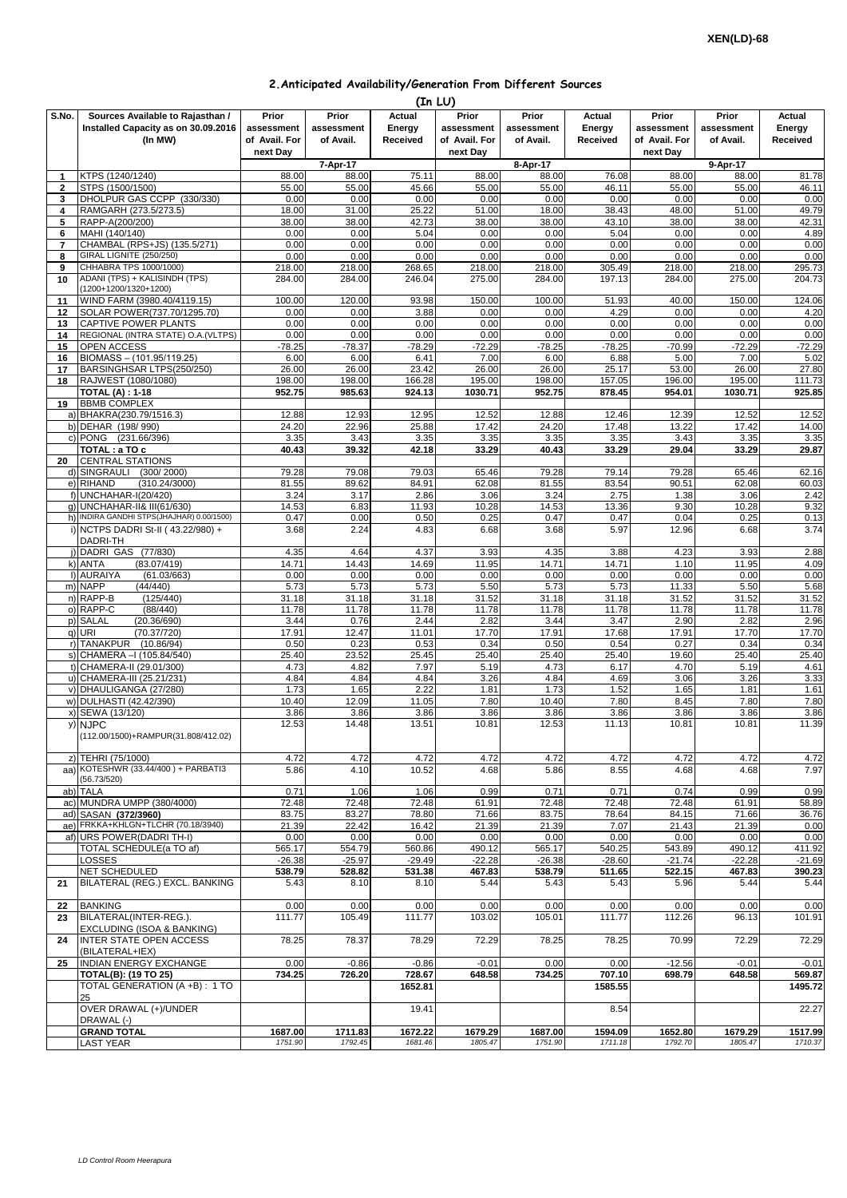## **2.Anticipated Availability/Generation From Different Sources**

|                                | (In LU)                                                   |                    |                    |                    |                    |                    |                    |                    |                    |                    |  |  |
|--------------------------------|-----------------------------------------------------------|--------------------|--------------------|--------------------|--------------------|--------------------|--------------------|--------------------|--------------------|--------------------|--|--|
| S.No.                          | Sources Available to Rajasthan /                          | Prior              | Prior              | Actual             | Prior              | Prior              | Actual             | Prior              | Prior              | Actual             |  |  |
|                                | Installed Capacity as on 30.09.2016                       | assessment         | assessment         | Energy             | assessment         | assessment         | Energy             | assessment         | assessment         | Energy             |  |  |
|                                | (In MW)                                                   | of Avail. For      | of Avail.          | Received           | of Avail. For      | of Avail.          | <b>Received</b>    | of Avail. For      | of Avail.          | Received           |  |  |
|                                |                                                           | next Day           |                    |                    | next Day           |                    |                    | next Day           |                    |                    |  |  |
|                                | KTPS (1240/1240)                                          | 88.00              | 7-Apr-17<br>88.00  |                    | 88.00              | 8-Apr-17           | 76.08              |                    | 9-Apr-17<br>88.00  |                    |  |  |
| $\mathbf{1}$<br>$\overline{2}$ | STPS (1500/1500)                                          | 55.00              | 55.00              | 75.11<br>45.66     | 55.00              | 88.00<br>55.00     | 46.11              | 88.00<br>55.00     | 55.00              | 81.78<br>46.11     |  |  |
| 3                              | DHOLPUR GAS CCPP (330/330)                                | 0.00               | 0.00               | 0.00               | 0.00               | 0.00               | 0.00               | 0.00               | 0.00               | 0.00               |  |  |
| 4                              | RAMGARH (273.5/273.5)                                     | 18.00              | 31.00              | 25.22              | 51.00              | 18.00              | 38.43              | 48.00              | 51.00              | 49.79              |  |  |
| 5                              | RAPP-A(200/200)                                           | 38.00              | 38.00              | 42.73              | 38.00              | 38.00              | 43.10              | 38.00              | 38.00              | 42.31              |  |  |
| 6                              | MAHI (140/140)                                            | 0.00               | 0.00               | 5.04               | 0.00               | 0.00               | 5.04               | 0.00               | 0.00               | 4.89               |  |  |
| $\overline{7}$                 | CHAMBAL (RPS+JS) (135.5/271)                              | 0.00               | 0.00               | 0.00               | 0.00               | 0.00               | 0.00               | 0.00               | 0.00               | 0.00               |  |  |
| 8                              | GIRAL LIGNITE (250/250)<br>CHHABRA TPS 1000/1000)         | 0.00               | 0.00               | 0.00               | 0.00               | 0.00               | 0.00               | 0.00               | 0.00               | 0.00               |  |  |
| 9<br>10                        | ADANI (TPS) + KALISINDH (TPS)                             | 218.00<br>284.00   | 218.00<br>284.00   | 268.65<br>246.04   | 218.00<br>275.00   | 218.00<br>284.00   | 305.49<br>197.13   | 218.00<br>284.00   | 218.00<br>275.00   | 295.73<br>204.73   |  |  |
|                                | (1200+1200/1320+1200)                                     |                    |                    |                    |                    |                    |                    |                    |                    |                    |  |  |
| 11                             | WIND FARM (3980.40/4119.15)                               | 100.00             | 120.00             | 93.98              | 150.00             | 100.00             | 51.93              | 40.00              | 150.00             | 124.06             |  |  |
| 12                             | SOLAR POWER(737.70/1295.70)                               | 0.00               | 0.00               | 3.88               | 0.00               | 0.00               | 4.29               | 0.00               | 0.00               | 4.20               |  |  |
| 13                             | <b>CAPTIVE POWER PLANTS</b>                               | 0.00               | 0.00               | 0.00               | 0.00               | 0.00               | 0.00               | 0.00               | 0.00               | 0.00               |  |  |
| 14                             | REGIONAL (INTRA STATE) O.A. (VLTPS)                       | 0.00               | 0.00               | 0.00               | 0.00               | 0.00               | 0.00               | 0.00               | 0.00               | 0.00               |  |  |
| 15                             | OPEN ACCESS                                               | $-78.25$<br>6.00   | $-78.37$<br>6.00   | $-78.29$<br>6.41   | $-72.29$<br>7.00   | $-78.25$<br>6.00   | $-78.25$<br>6.88   | $-70.99$<br>5.00   | $-72.29$<br>7.00   | $-72.29$           |  |  |
| 16<br>17                       | BIOMASS - (101.95/119.25)<br>BARSINGHSAR LTPS(250/250)    | 26.00              | 26.00              | 23.42              | 26.00              | 26.00              | 25.17              | 53.00              | 26.00              | 5.02<br>27.80      |  |  |
| 18                             | RAJWEST (1080/1080)                                       | 198.00             | 198.00             | 166.28             | 195.00             | 198.00             | 157.05             | 196.00             | 195.00             | 111.73             |  |  |
|                                | <b>TOTAL (A): 1-18</b>                                    | 952.75             | 985.63             | 924.13             | 1030.71            | 952.75             | 878.45             | 954.01             | 1030.71            | 925.85             |  |  |
| 19                             | <b>BBMB COMPLEX</b>                                       |                    |                    |                    |                    |                    |                    |                    |                    |                    |  |  |
|                                | a) BHAKRA(230.79/1516.3)                                  | 12.88              | 12.93              | 12.95              | 12.52              | 12.88              | 12.46              | 12.39              | 12.52              | 12.52              |  |  |
|                                | b) DEHAR (198/990)                                        | 24.20              | 22.96              | 25.88              | 17.42              | 24.20              | 17.48              | 13.22              | 17.42              | 14.00              |  |  |
|                                | c) PONG (231.66/396)                                      | 3.35               | 3.43               | 3.35               | 3.35               | 3.35               | 3.35               | 3.43               | 3.35               | 3.35               |  |  |
|                                | TOTAL: a TO c<br><b>CENTRAL STATIONS</b>                  | 40.43              | 39.32              | 42.18              | 33.29              | 40.43              | 33.29              | 29.04              | 33.29              | 29.87              |  |  |
| 20                             | d) SINGRAULI<br>(300/2000)                                | 79.28              | 79.08              | 79.03              | 65.46              | 79.28              | 79.14              | 79.28              | 65.46              | 62.16              |  |  |
|                                | e) RIHAND<br>(310.24/3000)                                | 81.55              | 89.62              | 84.91              | 62.08              | 81.55              | 83.54              | 90.51              | 62.08              | 60.03              |  |  |
|                                | f) UNCHAHAR-I(20/420)                                     | 3.24               | 3.17               | 2.86               | 3.06               | 3.24               | 2.75               | 1.38               | 3.06               | 2.42               |  |  |
|                                | g) UNCHAHAR-II& III(61/630)                               | 14.53              | 6.83               | 11.93              | 10.28              | 14.53              | 13.36              | 9.30               | 10.28              | 9.32               |  |  |
| h)                             | INDIRA GANDHI STPS(JHAJHAR) 0.00/1500)                    | 0.47               | 0.00               | 0.50               | 0.25               | 0.47               | 0.47               | 0.04               | 0.25               | 0.13               |  |  |
|                                | i) NCTPS DADRI St-II (43.22/980) +                        | 3.68               | 2.24               | 4.83               | 6.68               | 3.68               | 5.97               | 12.96              | 6.68               | 3.74               |  |  |
|                                | DADRI-TH                                                  |                    |                    |                    |                    |                    |                    |                    |                    |                    |  |  |
|                                | j) DADRI GAS (77/830)                                     | 4.35<br>14.71      | 4.64               | 4.37               | 3.93               | 4.35               | 3.88               | 4.23               | 3.93               | 2.88               |  |  |
|                                | (83.07/419)<br>k) ANTA<br>I) AURAIYA<br>(61.03/663)       | 0.00               | 14.43<br>0.00      | 14.69<br>0.00      | 11.95<br>0.00      | 14.71<br>0.00      | 14.71<br>0.00      | 1.10<br>0.00       | 11.95<br>0.00      | 4.09<br>0.00       |  |  |
|                                | m) NAPP<br>(44/440)                                       | 5.73               | 5.73               | 5.73               | 5.50               | 5.73               | 5.73               | 11.33              | 5.50               | 5.68               |  |  |
|                                | n) RAPP-B<br>(125/440)                                    | 31.18              | 31.18              | 31.18              | 31.52              | 31.18              | 31.18              | 31.52              | 31.52              | 31.52              |  |  |
|                                | o) RAPP-C<br>(88/440)                                     | 11.78              | 11.78              | 11.78              | 11.78              | 11.78              | 11.78              | 11.78              | 11.78              | 11.78              |  |  |
|                                | (20.36/690)<br>p) SALAL                                   | 3.44               | 0.76               | 2.44               | 2.82               | 3.44               | 3.47               | 2.90               | 2.82               | 2.96               |  |  |
|                                | q) URI<br>(70.37/720)                                     | 17.91              | 12.47              | 11.01              | 17.70              | 17.91              | 17.68              | 17.91              | 17.70              | 17.70              |  |  |
|                                | r) TANAKPUR<br>(10.86/94)                                 | 0.50               | 0.23               | 0.53               | 0.34               | 0.50               | 0.54               | 0.27               | 0.34               | 0.34               |  |  |
|                                | s) CHAMERA - (105.84/540)                                 | 25.40              | 23.52              | 25.45              | 25.40              | 25.40              | 25.40              | 19.60              | 25.40              | 25.40              |  |  |
|                                | t) CHAMERA-II (29.01/300)<br>u) CHAMERA-III (25.21/231)   | 4.73<br>4.84       | 4.82<br>4.84       | 7.97<br>4.84       | 5.19<br>3.26       | 4.73<br>4.84       | 6.17<br>4.69       | 4.70<br>3.06       | 5.19<br>3.26       | 4.61<br>3.33       |  |  |
|                                | v) DHAULIGANGA (27/280)                                   | 1.73               | 1.65               | 2.22               | 1.81               | 1.73               | 1.52               | 1.65               | 1.81               | 1.61               |  |  |
|                                | w) DULHASTI (42.42/390)                                   | 10.40              | 12.09              | 11.05              | 7.80               | 10.40              | 7.80               | 8.45               | 7.80               | 7.80               |  |  |
|                                | x) SEWA (13/120)                                          | 3.86               | 3.86               | 3.86               | 3.86               | 3.86               | 3.86               | 3.86               | 3.86               | 3.86               |  |  |
|                                | y) NJPC                                                   | 12.53              | 14.48              | 13.51              | 10.81              | 12.53              | 11.13              | 10.81              | 10.81              | 11.39              |  |  |
|                                | (112.00/1500)+RAMPUR(31.808/412.02)                       |                    |                    |                    |                    |                    |                    |                    |                    |                    |  |  |
|                                |                                                           |                    |                    |                    |                    |                    |                    |                    |                    |                    |  |  |
|                                | z) TEHRI (75/1000)<br>aa) KOTESHWR (33.44/400) + PARBATI3 | 4.72<br>5.86       | 4.72<br>4.10       | 4.72<br>10.52      | 4.72<br>4.68       | 4.72<br>5.86       | 4.72<br>8.55       | 4.72<br>4.68       | 4.72<br>4.68       | 4.72<br>7.97       |  |  |
|                                | (56.73/520)                                               |                    |                    |                    |                    |                    |                    |                    |                    |                    |  |  |
| ab)                            | <b>TALA</b>                                               | 0.71               | 1.06               | 1.06               | 0.99               | 0.71               | 0.71               | 0.74               | 0.99               | 0.99               |  |  |
|                                | ac) MUNDRA UMPP (380/4000)                                | 72.48              | 72.48              | 72.48              | 61.91              | 72.48              | 72.48              | 72.48              | 61.91              | 58.89              |  |  |
|                                | ad) SASAN (372/3960)                                      | 83.75              | 83.27              | 78.80              | 71.66              | 83.75              | 78.64              | 84.15              | 71.66              | 36.76              |  |  |
|                                | ae) FRKKA+KHLGN+TLCHR (70.18/3940)                        | 21.39              | 22.42              | 16.42              | 21.39              | 21.39              | 7.07               | 21.43              | 21.39              | 0.00               |  |  |
|                                | af) URS POWER (DADRI TH-I)<br>TOTAL SCHEDULE(a TO af)     | 0.00<br>565.17     | 0.00<br>554.79     | 0.00<br>560.86     | 0.00<br>490.12     | 0.00<br>565.17     | 0.00<br>540.25     | 0.00<br>543.89     | 0.00<br>490.12     | 0.00<br>411.92     |  |  |
|                                | <b>LOSSES</b>                                             | $-26.38$           | $-25.97$           | $-29.49$           | $-22.28$           | $-26.38$           | $-28.60$           | $-21.74$           | $-22.28$           | $-21.69$           |  |  |
|                                | <b>NET SCHEDULED</b>                                      | 538.79             | 528.82             | 531.38             | 467.83             | 538.79             | 511.65             | 522.15             | 467.83             | 390.23             |  |  |
| 21                             | BILATERAL (REG.) EXCL. BANKING                            | 5.43               | 8.10               | 8.10               | 5.44               | 5.43               | 5.43               | 5.96               | 5.44               | 5.44               |  |  |
|                                |                                                           |                    |                    |                    |                    |                    |                    |                    |                    |                    |  |  |
| 22                             | <b>BANKING</b>                                            | 0.00               | 0.00               | 0.00               | 0.00               | 0.00               | 0.00               | 0.00               | 0.00               | 0.00               |  |  |
| 23                             | BILATERAL(INTER-REG.).                                    | 111.77             | 105.49             | 111.77             | 103.02             | 105.01             | 111.77             | 112.26             | 96.13              | 101.91             |  |  |
|                                | EXCLUDING (ISOA & BANKING)                                |                    |                    |                    | 72.29              |                    |                    |                    | 72.29              | 72.29              |  |  |
| 24                             | <b>INTER STATE OPEN ACCESS</b><br>(BILATERAL+IEX)         | 78.25              | 78.37              | 78.29              |                    | 78.25              | 78.25              | 70.99              |                    |                    |  |  |
| 25                             | <b>INDIAN ENERGY EXCHANGE</b>                             | 0.00               | $-0.86$            | $-0.86$            | $-0.01$            | 0.00               | 0.00               | $-12.56$           | $-0.01$            | $-0.01$            |  |  |
|                                | <b>TOTAL(B): (19 TO 25)</b>                               | 734.25             | 726.20             | 728.67             | 648.58             | 734.25             | 707.10             | 698.79             | 648.58             | 569.87             |  |  |
|                                | TOTAL GENERATION (A+B): 1 TO                              |                    |                    | 1652.81            |                    |                    | 1585.55            |                    |                    | 1495.72            |  |  |
|                                | 25                                                        |                    |                    |                    |                    |                    |                    |                    |                    |                    |  |  |
|                                | OVER DRAWAL (+)/UNDER                                     |                    |                    | 19.41              |                    |                    | 8.54               |                    |                    | 22.27              |  |  |
|                                | DRAWAL (-)                                                |                    |                    |                    |                    |                    |                    |                    |                    |                    |  |  |
|                                | <b>GRAND TOTAL</b><br><b>LAST YEAR</b>                    | 1687.00<br>1751.90 | 1711.83<br>1792.45 | 1672.22<br>1681.46 | 1679.29<br>1805.47 | 1687.00<br>1751.90 | 1594.09<br>1711.18 | 1652.80<br>1792.70 | 1679.29<br>1805.47 | 1517.99<br>1710.37 |  |  |
|                                |                                                           |                    |                    |                    |                    |                    |                    |                    |                    |                    |  |  |